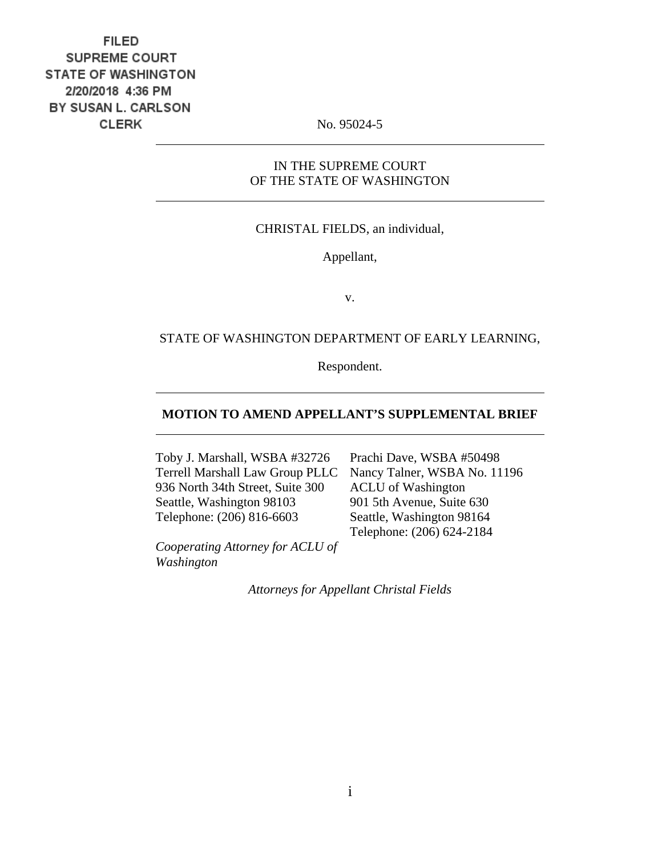# **FILED** SUPREME COURT **STATE OF WASHINGTON** 2/20/2018 4:36 PM BY SUSAN L. CARLSON **CLERK**

No. 95024-5

### IN THE SUPREME COURT OF THE STATE OF WASHINGTON

### CHRISTAL FIELDS, an individual,

Appellant,

v.

### STATE OF WASHINGTON DEPARTMENT OF EARLY LEARNING,

Respondent.

### **MOTION TO AMEND APPELLANT'S SUPPLEMENTAL BRIEF**

Toby J. Marshall, WSBA #32726 Terrell Marshall Law Group PLLC 936 North 34th Street, Suite 300 Seattle, Washington 98103 Telephone: (206) 816-6603

*Cooperating Attorney for ACLU of Washington*

Prachi Dave, WSBA #50498 Nancy Talner, WSBA No. 11196 ACLU of Washington 901 5th Avenue, Suite 630 Seattle, Washington 98164 Telephone: (206) 624-2184

*Attorneys for Appellant Christal Fields*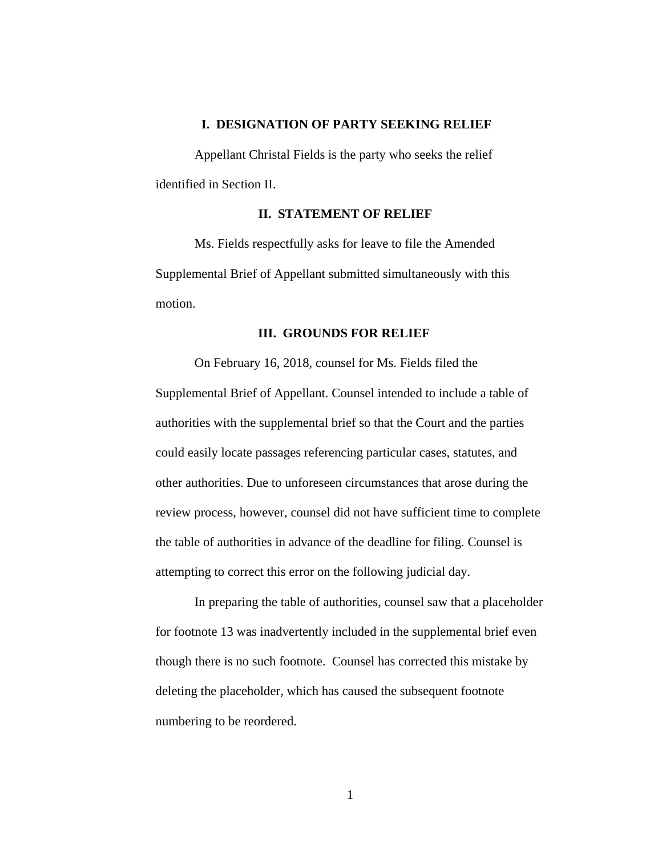### **I. DESIGNATION OF PARTY SEEKING RELIEF**

Appellant Christal Fields is the party who seeks the relief identified in Section II.

### **II. STATEMENT OF RELIEF**

Ms. Fields respectfully asks for leave to file the Amended Supplemental Brief of Appellant submitted simultaneously with this motion.

#### **III. GROUNDS FOR RELIEF**

On February 16, 2018, counsel for Ms. Fields filed the Supplemental Brief of Appellant. Counsel intended to include a table of authorities with the supplemental brief so that the Court and the parties could easily locate passages referencing particular cases, statutes, and other authorities. Due to unforeseen circumstances that arose during the review process, however, counsel did not have sufficient time to complete the table of authorities in advance of the deadline for filing. Counsel is attempting to correct this error on the following judicial day.

In preparing the table of authorities, counsel saw that a placeholder for footnote 13 was inadvertently included in the supplemental brief even though there is no such footnote. Counsel has corrected this mistake by deleting the placeholder, which has caused the subsequent footnote numbering to be reordered.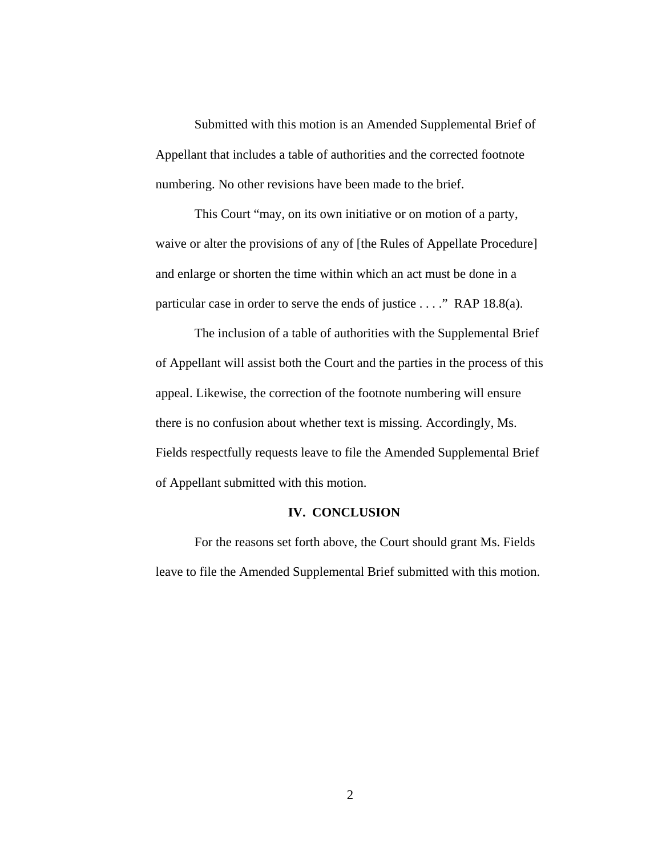Submitted with this motion is an Amended Supplemental Brief of Appellant that includes a table of authorities and the corrected footnote numbering. No other revisions have been made to the brief.

This Court "may, on its own initiative or on motion of a party, waive or alter the provisions of any of [the Rules of Appellate Procedure] and enlarge or shorten the time within which an act must be done in a particular case in order to serve the ends of justice . . . ." RAP 18.8(a).

The inclusion of a table of authorities with the Supplemental Brief of Appellant will assist both the Court and the parties in the process of this appeal. Likewise, the correction of the footnote numbering will ensure there is no confusion about whether text is missing. Accordingly, Ms. Fields respectfully requests leave to file the Amended Supplemental Brief of Appellant submitted with this motion.

#### **IV. CONCLUSION**

For the reasons set forth above, the Court should grant Ms. Fields leave to file the Amended Supplemental Brief submitted with this motion.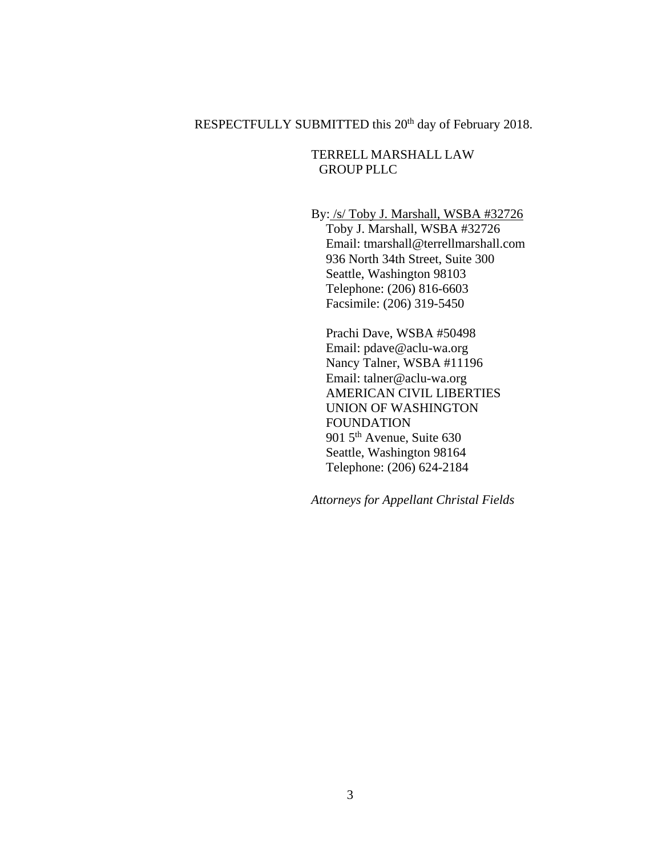## RESPECTFULLY SUBMITTED this 20<sup>th</sup> day of February 2018.

### TERRELL MARSHALL LAW GROUP PLLC

By: /s/ Toby J. Marshall, WSBA #32726

Toby J. Marshall, WSBA #32726 Email: tmarshall@terrellmarshall.com 936 North 34th Street, Suite 300 Seattle, Washington 98103 Telephone: (206) 816-6603 Facsimile: (206) 319-5450

Prachi Dave, WSBA #50498 Email: pdave@aclu-wa.org Nancy Talner, WSBA #11196 Email: talner@aclu-wa.org AMERICAN CIVIL LIBERTIES UNION OF WASHINGTON FOUNDATION 901 5<sup>th</sup> Avenue, Suite 630 Seattle, Washington 98164 Telephone: (206) 624-2184

*Attorneys for Appellant Christal Fields*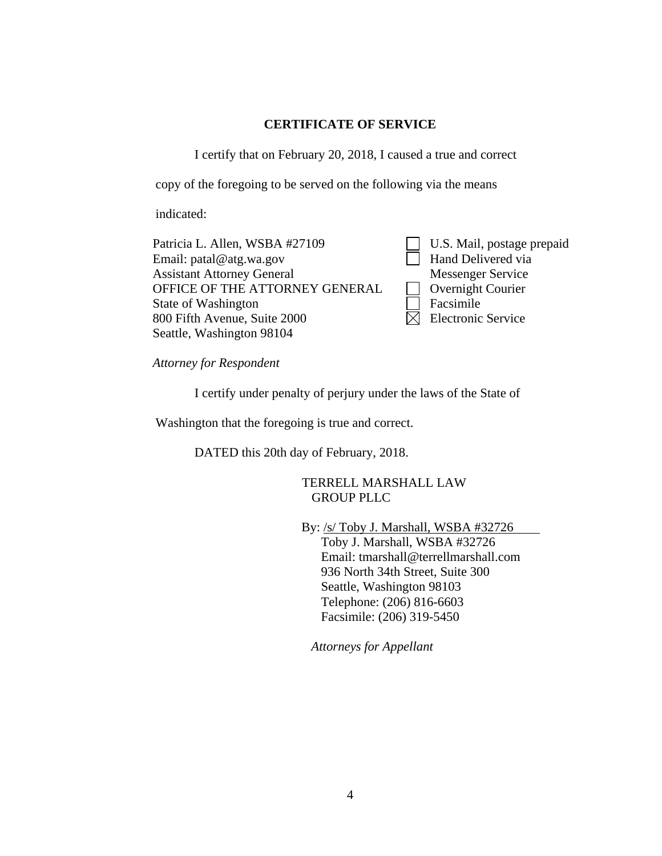### **CERTIFICATE OF SERVICE**

I certify that on February 20, 2018, I caused a true and correct

copy of the foregoing to be served on the following via the means

indicated:

Patricia L. Allen, WSBA #27109 Email: patal@atg.wa.gov Assistant Attorney General OFFICE OF THE ATTORNEY GENERAL State of Washington 800 Fifth Avenue, Suite 2000 Seattle, Washington 98104

U.S. Mail, postage prepaid **Hand Delivered via** Messenger Service Overnight Courier Facsimile  $\boxtimes$  Electronic Service

*Attorney for Respondent* 

I certify under penalty of perjury under the laws of the State of

Washington that the foregoing is true and correct.

DATED this 20th day of February, 2018.

TERRELL MARSHALL LAW GROUP PLLC

By: /s/ Toby J. Marshall, WSBA #32726

Toby J. Marshall, WSBA #32726 Email: tmarshall@terrellmarshall.com 936 North 34th Street, Suite 300 Seattle, Washington 98103 Telephone: (206) 816-6603 Facsimile: (206) 319-5450

*Attorneys for Appellant*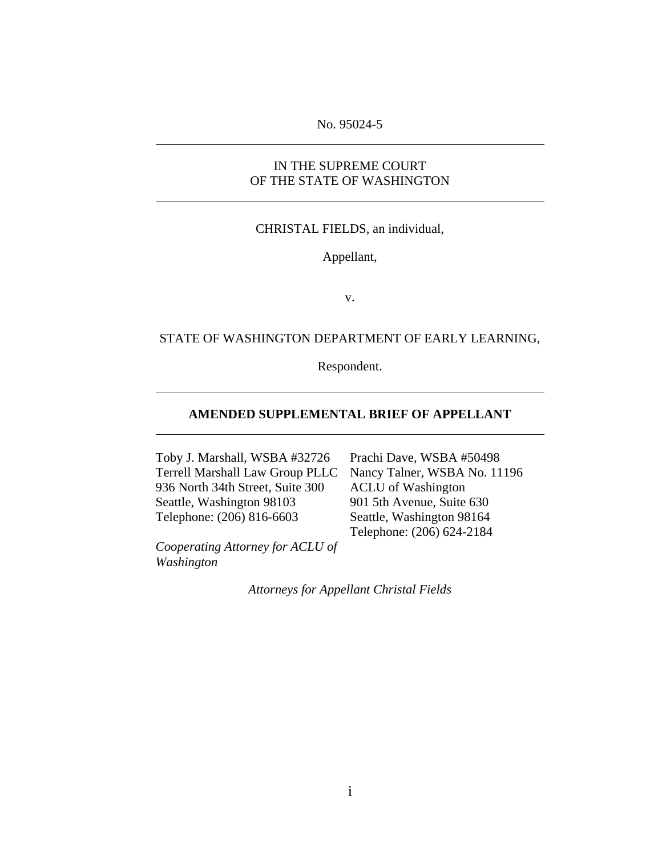### No. 95024-5

### IN THE SUPREME COURT OF THE STATE OF WASHINGTON

#### CHRISTAL FIELDS, an individual,

Appellant,

v.

### STATE OF WASHINGTON DEPARTMENT OF EARLY LEARNING,

Respondent.

### **AMENDED SUPPLEMENTAL BRIEF OF APPELLANT**

Toby J. Marshall, WSBA #32726 Terrell Marshall Law Group PLLC 936 North 34th Street, Suite 300 Seattle, Washington 98103 Telephone: (206) 816-6603

*Cooperating Attorney for ACLU of Washington*

Prachi Dave, WSBA #50498 Nancy Talner, WSBA No. 11196 ACLU of Washington 901 5th Avenue, Suite 630 Seattle, Washington 98164 Telephone: (206) 624-2184

*Attorneys for Appellant Christal Fields*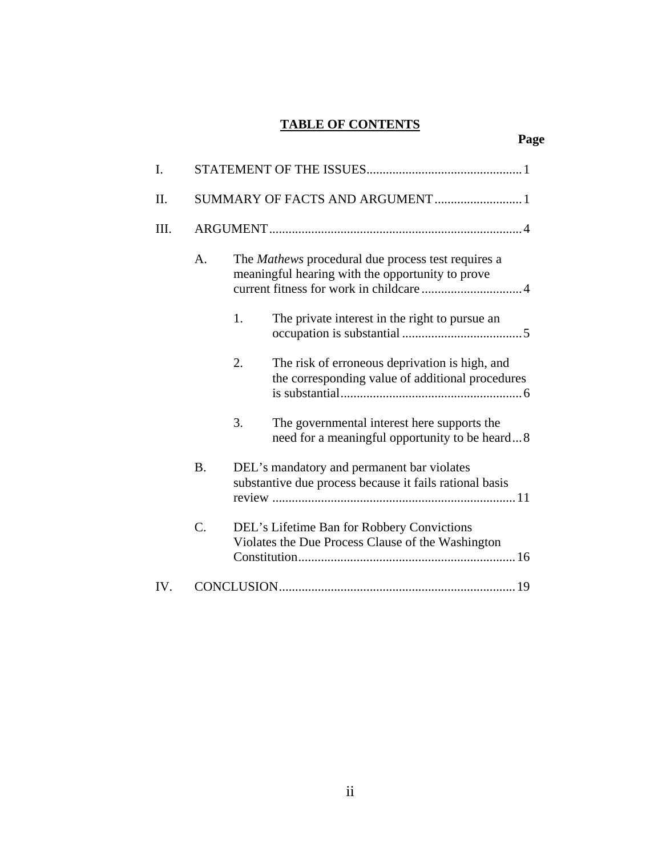# **TABLE OF CONTENTS**

| I.              |                                |    |                                                                                                        |  |
|-----------------|--------------------------------|----|--------------------------------------------------------------------------------------------------------|--|
| Π.              | SUMMARY OF FACTS AND ARGUMENT1 |    |                                                                                                        |  |
| III.            |                                |    |                                                                                                        |  |
|                 | A.                             |    | The Mathews procedural due process test requires a<br>meaningful hearing with the opportunity to prove |  |
|                 |                                | 1. | The private interest in the right to pursue an                                                         |  |
|                 |                                | 2. | The risk of erroneous deprivation is high, and<br>the corresponding value of additional procedures     |  |
|                 |                                | 3. | The governmental interest here supports the<br>need for a meaningful opportunity to be heard8          |  |
|                 | <b>B.</b>                      |    | DEL's mandatory and permanent bar violates<br>substantive due process because it fails rational basis  |  |
| $\mathcal{C}$ . |                                |    | DEL's Lifetime Ban for Robbery Convictions<br>Violates the Due Process Clause of the Washington        |  |
| IV.             |                                |    |                                                                                                        |  |

# **Page**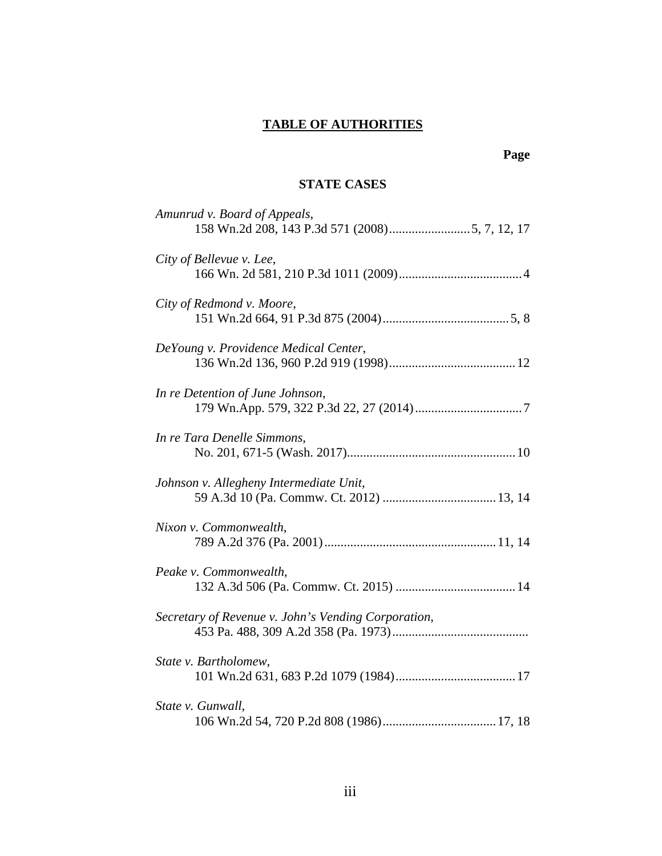# **TABLE OF AUTHORITIES**

### **STATE CASES**

| Amunrud v. Board of Appeals,                        |
|-----------------------------------------------------|
| City of Bellevue v. Lee,                            |
| City of Redmond v. Moore,                           |
| DeYoung v. Providence Medical Center,               |
| In re Detention of June Johnson,                    |
| In re Tara Denelle Simmons,                         |
| Johnson v. Allegheny Intermediate Unit,             |
| Nixon v. Commonwealth,                              |
| Peake v. Commonwealth,                              |
| Secretary of Revenue v. John's Vending Corporation, |
| State v. Bartholomew,                               |
| State v. Gunwall,                                   |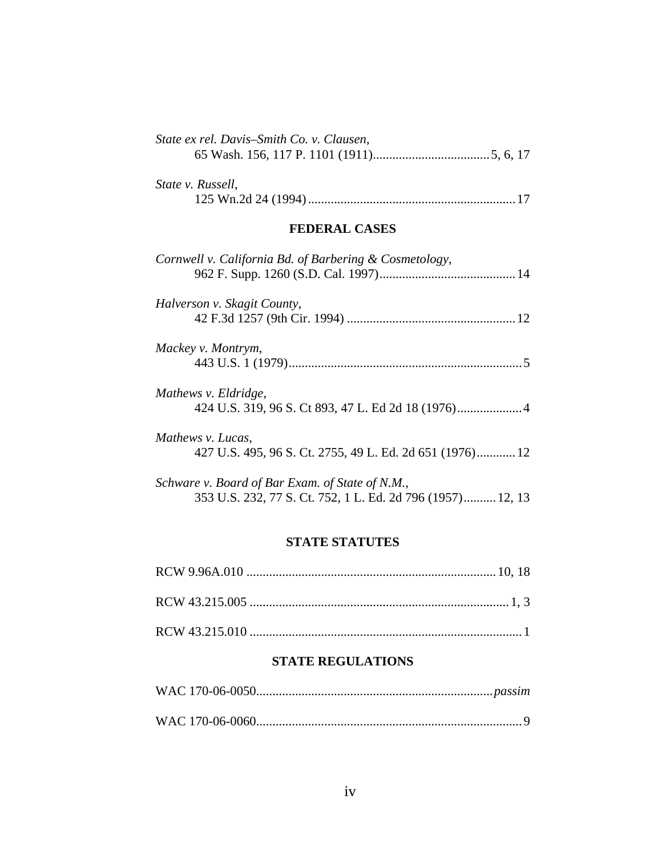| State ex rel. Davis-Smith Co. v. Clausen, |  |
|-------------------------------------------|--|
| <i>State v. Russell,</i>                  |  |

## **FEDERAL CASES**

| Cornwell v. California Bd. of Barbering & Cosmetology,     |  |
|------------------------------------------------------------|--|
| Halverson v. Skagit County,                                |  |
|                                                            |  |
| Mackey v. Montrym,                                         |  |
|                                                            |  |
| Mathews v. Eldridge,                                       |  |
|                                                            |  |
| Mathews v. Lucas,                                          |  |
| 427 U.S. 495, 96 S. Ct. 2755, 49 L. Ed. 2d 651 (1976) 12   |  |
| Schware v. Board of Bar Exam. of State of N.M.,            |  |
| 353 U.S. 232, 77 S. Ct. 752, 1 L. Ed. 2d 796 (1957) 12, 13 |  |

### **STATE STATUTES**

### **STATE REGULATIONS**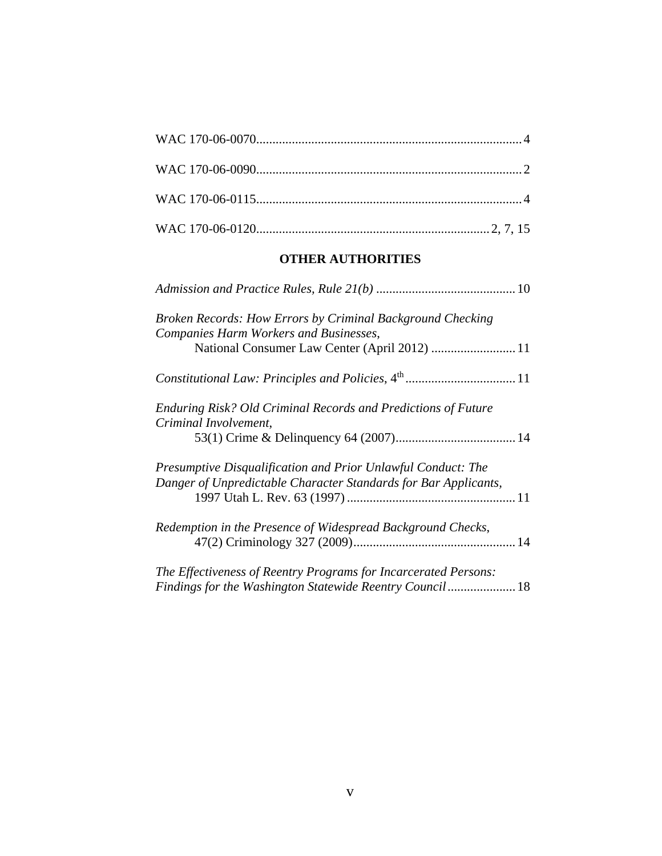# **OTHER AUTHORITIES**

| Broken Records: How Errors by Criminal Background Checking<br>Companies Harm Workers and Businesses, |
|------------------------------------------------------------------------------------------------------|
|                                                                                                      |
|                                                                                                      |
| Enduring Risk? Old Criminal Records and Predictions of Future<br>Criminal Involvement,               |
|                                                                                                      |
| Presumptive Disqualification and Prior Unlawful Conduct: The                                         |
| Danger of Unpredictable Character Standards for Bar Applicants,                                      |
| Redemption in the Presence of Widespread Background Checks,                                          |
|                                                                                                      |
| The Effectiveness of Reentry Programs for Incarcerated Persons:                                      |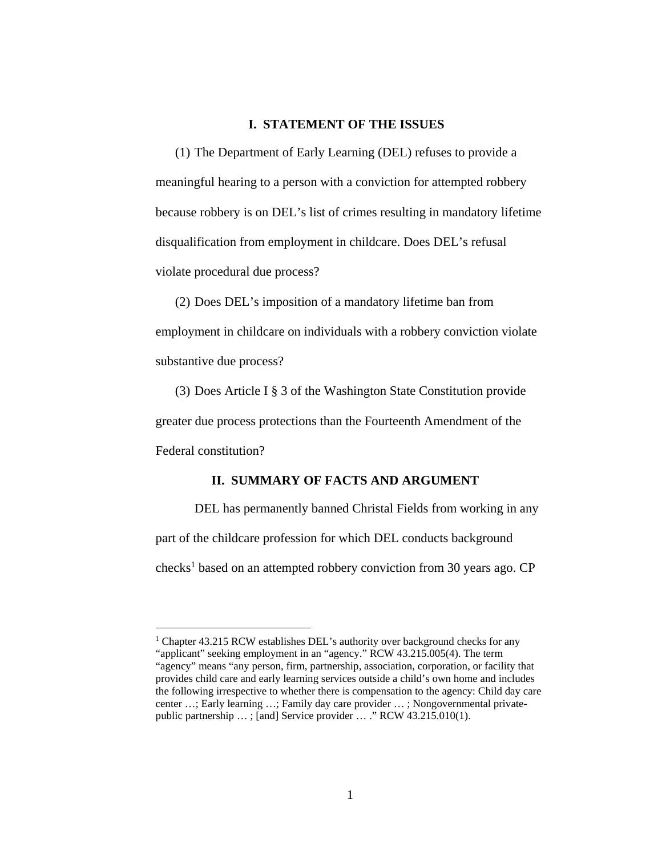### **I. STATEMENT OF THE ISSUES**

(1) The Department of Early Learning (DEL) refuses to provide a meaningful hearing to a person with a conviction for attempted robbery because robbery is on DEL's list of crimes resulting in mandatory lifetime disqualification from employment in childcare. Does DEL's refusal violate procedural due process?

(2) Does DEL's imposition of a mandatory lifetime ban from employment in childcare on individuals with a robbery conviction violate substantive due process?

(3) Does Article I § 3 of the Washington State Constitution provide greater due process protections than the Fourteenth Amendment of the Federal constitution?

### **II. SUMMARY OF FACTS AND ARGUMENT**

DEL has permanently banned Christal Fields from working in any part of the childcare profession for which DEL conducts background checks<sup>1</sup> based on an attempted robbery conviction from 30 years ago. CP

<sup>&</sup>lt;sup>1</sup> Chapter 43.215 RCW establishes DEL's authority over background checks for any "applicant" seeking employment in an "agency." RCW 43.215.005(4). The term "agency" means "any person, firm, partnership, association, corporation, or facility that provides child care and early learning services outside a child's own home and includes the following irrespective to whether there is compensation to the agency: Child day care center …; Early learning …; Family day care provider … ; Nongovernmental privatepublic partnership … ; [and] Service provider … ." RCW 43.215.010(1).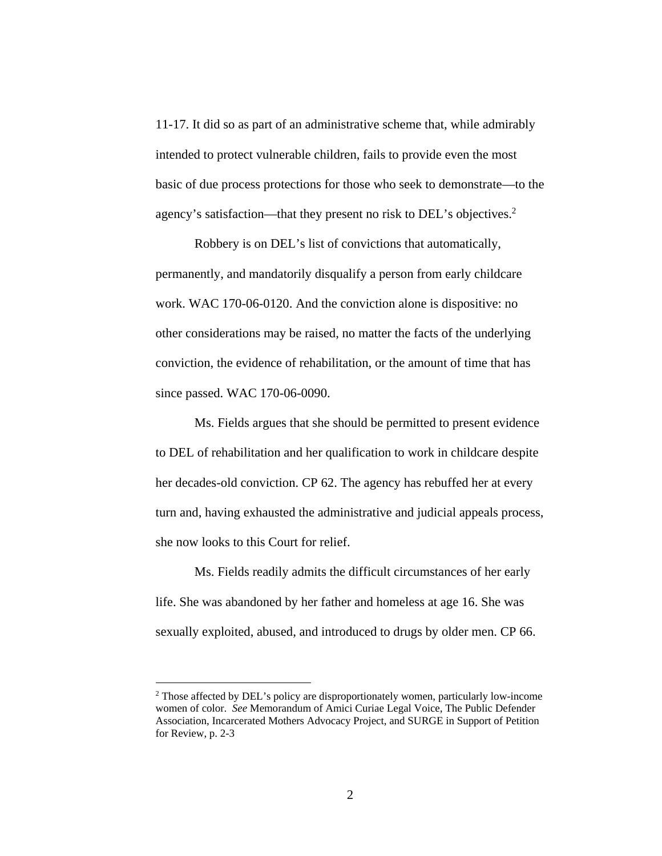11-17. It did so as part of an administrative scheme that, while admirably intended to protect vulnerable children, fails to provide even the most basic of due process protections for those who seek to demonstrate—to the agency's satisfaction—that they present no risk to DEL's objectives.<sup>2</sup>

Robbery is on DEL's list of convictions that automatically, permanently, and mandatorily disqualify a person from early childcare work. WAC 170-06-0120. And the conviction alone is dispositive: no other considerations may be raised, no matter the facts of the underlying conviction, the evidence of rehabilitation, or the amount of time that has since passed. WAC 170-06-0090.

Ms. Fields argues that she should be permitted to present evidence to DEL of rehabilitation and her qualification to work in childcare despite her decades-old conviction. CP 62. The agency has rebuffed her at every turn and, having exhausted the administrative and judicial appeals process, she now looks to this Court for relief.

Ms. Fields readily admits the difficult circumstances of her early life. She was abandoned by her father and homeless at age 16. She was sexually exploited, abused, and introduced to drugs by older men. CP 66.

<sup>&</sup>lt;sup>2</sup> Those affected by DEL's policy are disproportionately women, particularly low-income women of color. *See* Memorandum of Amici Curiae Legal Voice, The Public Defender Association, Incarcerated Mothers Advocacy Project, and SURGE in Support of Petition for Review, p. 2-3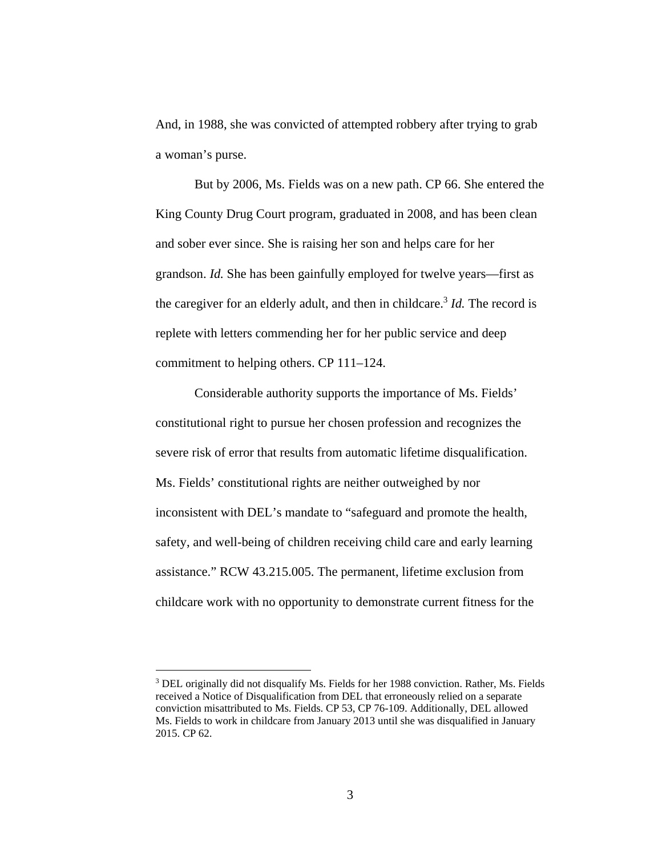And, in 1988, she was convicted of attempted robbery after trying to grab a woman's purse.

But by 2006, Ms. Fields was on a new path. CP 66. She entered the King County Drug Court program, graduated in 2008, and has been clean and sober ever since. She is raising her son and helps care for her grandson. *Id.* She has been gainfully employed for twelve years—first as the caregiver for an elderly adult, and then in childcare.<sup>3</sup> *Id*. The record is replete with letters commending her for her public service and deep commitment to helping others. CP 111–124.

Considerable authority supports the importance of Ms. Fields' constitutional right to pursue her chosen profession and recognizes the severe risk of error that results from automatic lifetime disqualification. Ms. Fields' constitutional rights are neither outweighed by nor inconsistent with DEL's mandate to "safeguard and promote the health, safety, and well-being of children receiving child care and early learning assistance." RCW 43.215.005. The permanent, lifetime exclusion from childcare work with no opportunity to demonstrate current fitness for the

<sup>&</sup>lt;sup>3</sup> DEL originally did not disqualify Ms. Fields for her 1988 conviction. Rather, Ms. Fields received a Notice of Disqualification from DEL that erroneously relied on a separate conviction misattributed to Ms. Fields. CP 53, CP 76-109. Additionally, DEL allowed Ms. Fields to work in childcare from January 2013 until she was disqualified in January 2015. CP 62.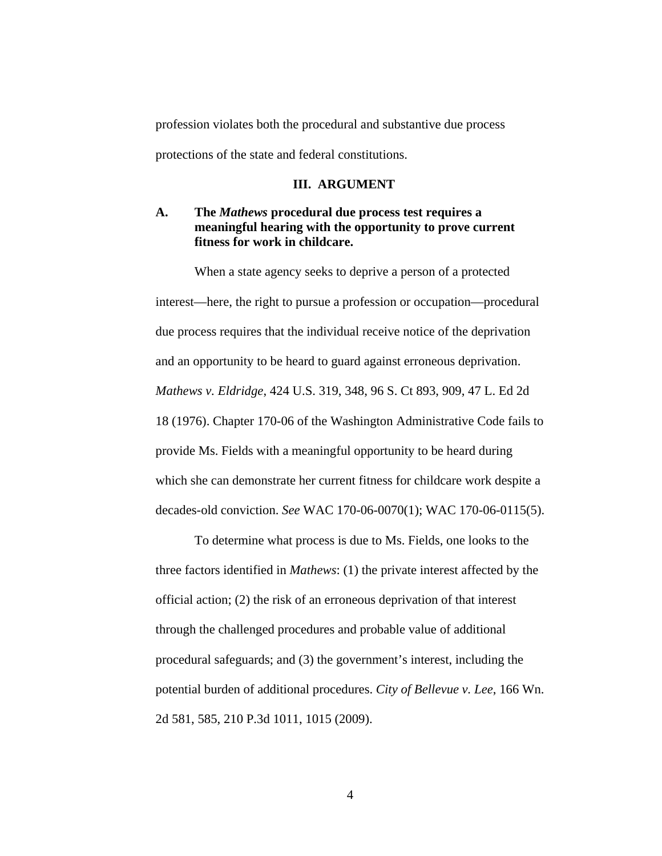profession violates both the procedural and substantive due process protections of the state and federal constitutions.

#### **III. ARGUMENT**

### **A. The** *Mathews* **procedural due process test requires a meaningful hearing with the opportunity to prove current fitness for work in childcare.**

When a state agency seeks to deprive a person of a protected interest—here, the right to pursue a profession or occupation—procedural due process requires that the individual receive notice of the deprivation and an opportunity to be heard to guard against erroneous deprivation. *Mathews v. Eldridge*, 424 U.S. 319, 348, 96 S. Ct 893, 909, 47 L. Ed 2d 18 (1976). Chapter 170-06 of the Washington Administrative Code fails to provide Ms. Fields with a meaningful opportunity to be heard during which she can demonstrate her current fitness for childcare work despite a decades-old conviction. *See* WAC 170-06-0070(1); WAC 170-06-0115(5).

To determine what process is due to Ms. Fields, one looks to the three factors identified in *Mathews*: (1) the private interest affected by the official action; (2) the risk of an erroneous deprivation of that interest through the challenged procedures and probable value of additional procedural safeguards; and (3) the government's interest, including the potential burden of additional procedures. *City of Bellevue v. Lee*, 166 Wn. 2d 581, 585, 210 P.3d 1011, 1015 (2009).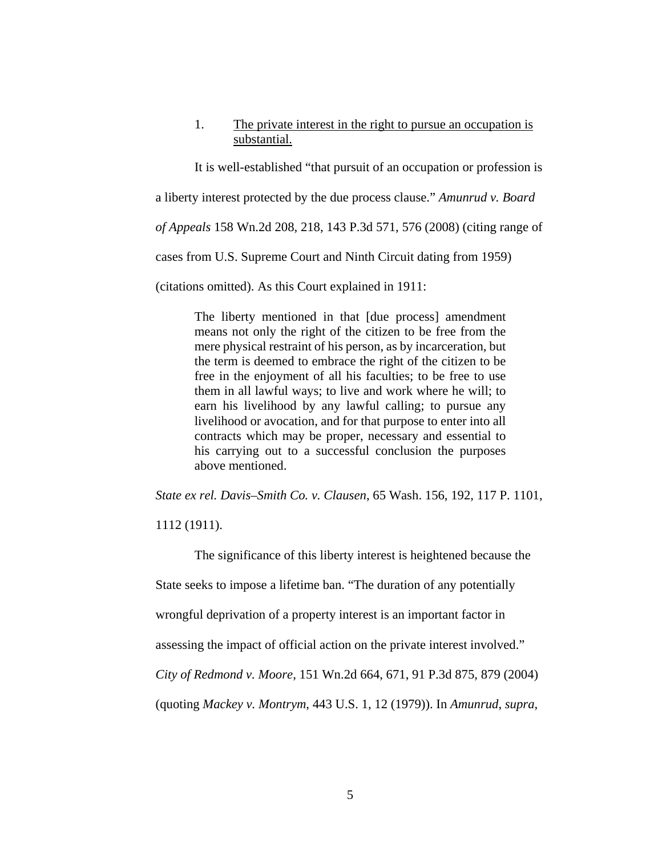### 1. The private interest in the right to pursue an occupation is substantial.

It is well-established "that pursuit of an occupation or profession is a liberty interest protected by the due process clause." *Amunrud v. Board of Appeals* 158 Wn.2d 208, 218, 143 P.3d 571, 576 (2008) (citing range of cases from U.S. Supreme Court and Ninth Circuit dating from 1959) (citations omitted). As this Court explained in 1911:

The liberty mentioned in that [due process] amendment means not only the right of the citizen to be free from the mere physical restraint of his person, as by incarceration, but the term is deemed to embrace the right of the citizen to be free in the enjoyment of all his faculties; to be free to use them in all lawful ways; to live and work where he will; to earn his livelihood by any lawful calling; to pursue any livelihood or avocation, and for that purpose to enter into all contracts which may be proper, necessary and essential to his carrying out to a successful conclusion the purposes above mentioned.

*State ex rel. Davis–Smith Co. v. Clausen*, 65 Wash. 156, 192, 117 P. 1101,

1112 (1911).

The significance of this liberty interest is heightened because the State seeks to impose a lifetime ban. "The duration of any potentially wrongful deprivation of a property interest is an important factor in assessing the impact of official action on the private interest involved." *City of Redmond v. Moore*, 151 Wn.2d 664, 671, 91 P.3d 875, 879 (2004) (quoting *Mackey v. Montrym*, 443 U.S. 1, 12 (1979)). In *Amunrud*, *supra*,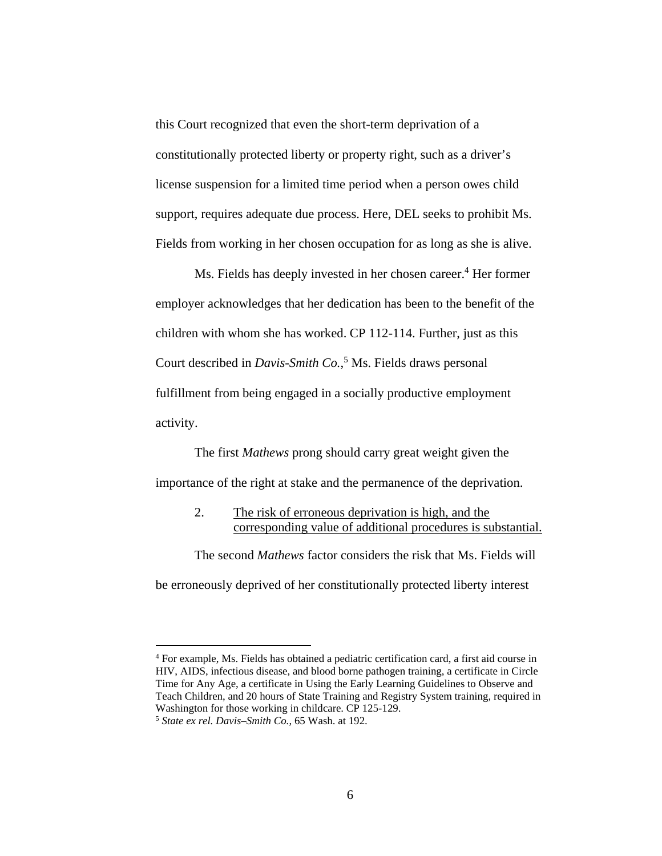this Court recognized that even the short-term deprivation of a constitutionally protected liberty or property right, such as a driver's license suspension for a limited time period when a person owes child support, requires adequate due process. Here, DEL seeks to prohibit Ms. Fields from working in her chosen occupation for as long as she is alive.

Ms. Fields has deeply invested in her chosen career.<sup>4</sup> Her former employer acknowledges that her dedication has been to the benefit of the children with whom she has worked. CP 112-114. Further, just as this Court described in *Davis-Smith Co.*,<sup>5</sup> Ms. Fields draws personal fulfillment from being engaged in a socially productive employment activity.

The first *Mathews* prong should carry great weight given the importance of the right at stake and the permanence of the deprivation.

> 2. The risk of erroneous deprivation is high, and the corresponding value of additional procedures is substantial.

The second *Mathews* factor considers the risk that Ms. Fields will be erroneously deprived of her constitutionally protected liberty interest

<sup>&</sup>lt;sup>4</sup> For example, Ms. Fields has obtained a pediatric certification card, a first aid course in HIV, AIDS, infectious disease, and blood borne pathogen training, a certificate in Circle Time for Any Age, a certificate in Using the Early Learning Guidelines to Observe and Teach Children, and 20 hours of State Training and Registry System training, required in Washington for those working in childcare. CP 125-129.

<sup>5</sup> *State ex rel. Davis–Smith Co.*, 65 Wash. at 192.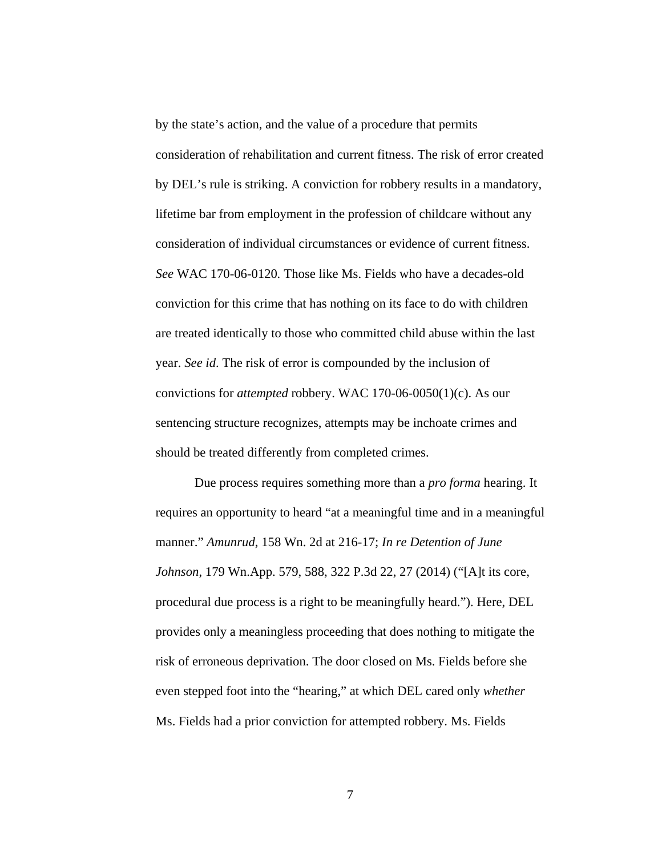by the state's action, and the value of a procedure that permits consideration of rehabilitation and current fitness. The risk of error created by DEL's rule is striking. A conviction for robbery results in a mandatory, lifetime bar from employment in the profession of childcare without any consideration of individual circumstances or evidence of current fitness. *See* WAC 170-06-0120*.* Those like Ms. Fields who have a decades-old conviction for this crime that has nothing on its face to do with children are treated identically to those who committed child abuse within the last year. *See id*. The risk of error is compounded by the inclusion of convictions for *attempted* robbery. WAC 170-06-0050(1)(c). As our sentencing structure recognizes, attempts may be inchoate crimes and should be treated differently from completed crimes.

Due process requires something more than a *pro forma* hearing. It requires an opportunity to heard "at a meaningful time and in a meaningful manner." *Amunrud*, 158 Wn. 2d at 216-17; *In re Detention of June Johnson*, 179 Wn.App. 579, 588, 322 P.3d 22, 27 (2014) ("[A]t its core, procedural due process is a right to be meaningfully heard."). Here, DEL provides only a meaningless proceeding that does nothing to mitigate the risk of erroneous deprivation. The door closed on Ms. Fields before she even stepped foot into the "hearing," at which DEL cared only *whether* Ms. Fields had a prior conviction for attempted robbery. Ms. Fields

7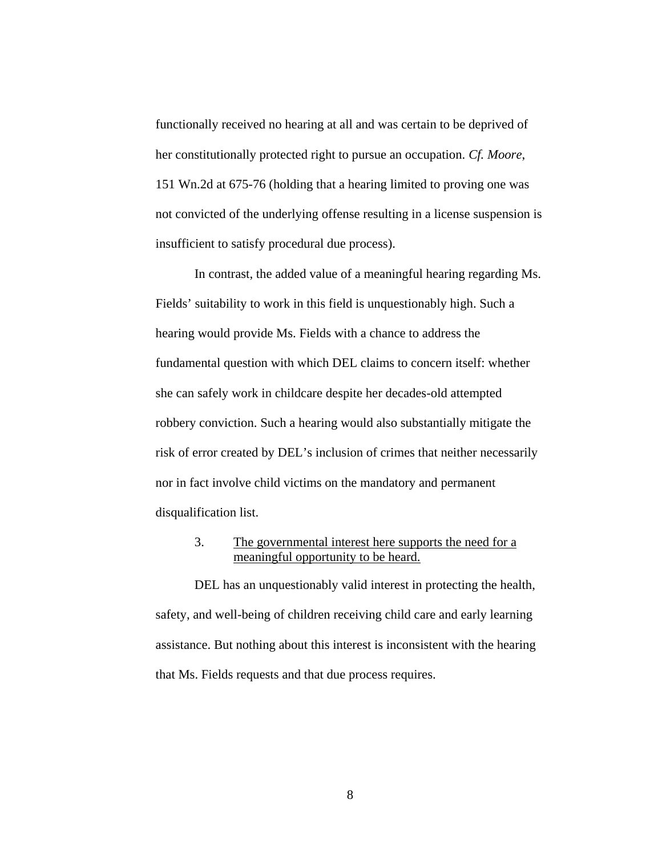functionally received no hearing at all and was certain to be deprived of her constitutionally protected right to pursue an occupation. *Cf. Moore*, 151 Wn.2d at 675-76 (holding that a hearing limited to proving one was not convicted of the underlying offense resulting in a license suspension is insufficient to satisfy procedural due process).

In contrast, the added value of a meaningful hearing regarding Ms. Fields' suitability to work in this field is unquestionably high. Such a hearing would provide Ms. Fields with a chance to address the fundamental question with which DEL claims to concern itself: whether she can safely work in childcare despite her decades-old attempted robbery conviction. Such a hearing would also substantially mitigate the risk of error created by DEL's inclusion of crimes that neither necessarily nor in fact involve child victims on the mandatory and permanent disqualification list.

### 3. The governmental interest here supports the need for a meaningful opportunity to be heard.

DEL has an unquestionably valid interest in protecting the health, safety, and well-being of children receiving child care and early learning assistance. But nothing about this interest is inconsistent with the hearing that Ms. Fields requests and that due process requires.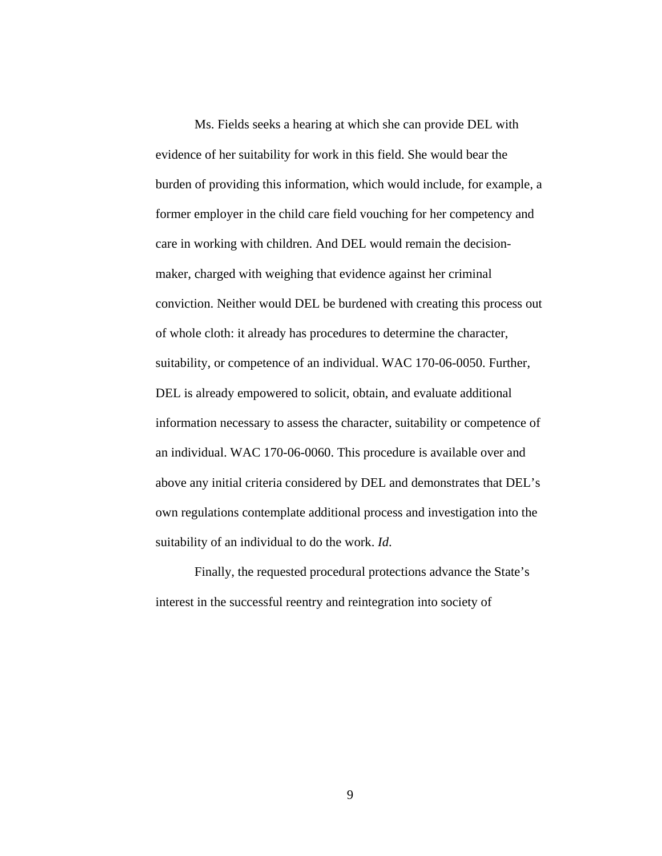Ms. Fields seeks a hearing at which she can provide DEL with evidence of her suitability for work in this field. She would bear the burden of providing this information, which would include, for example, a former employer in the child care field vouching for her competency and care in working with children. And DEL would remain the decisionmaker, charged with weighing that evidence against her criminal conviction. Neither would DEL be burdened with creating this process out of whole cloth: it already has procedures to determine the character, suitability, or competence of an individual. WAC 170-06-0050. Further, DEL is already empowered to solicit, obtain, and evaluate additional information necessary to assess the character, suitability or competence of an individual. WAC 170-06-0060. This procedure is available over and above any initial criteria considered by DEL and demonstrates that DEL's own regulations contemplate additional process and investigation into the suitability of an individual to do the work. *Id*.

Finally, the requested procedural protections advance the State's interest in the successful reentry and reintegration into society of

9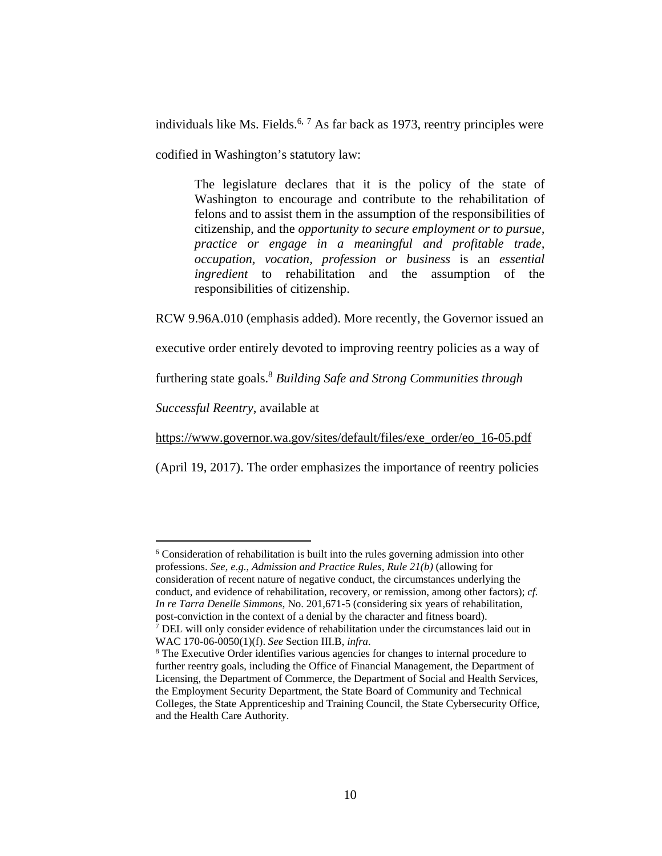individuals like Ms. Fields.<sup>6, 7</sup> As far back as 1973, reentry principles were codified in Washington's statutory law:

The legislature declares that it is the policy of the state of Washington to encourage and contribute to the rehabilitation of felons and to assist them in the assumption of the responsibilities of citizenship, and the *opportunity to secure employment or to pursue, practice or engage in a meaningful and profitable trade, occupation, vocation, profession or business* is an *essential ingredient* to rehabilitation and the assumption of the responsibilities of citizenship.

RCW 9.96A.010 (emphasis added). More recently, the Governor issued an

executive order entirely devoted to improving reentry policies as a way of

furthering state goals.8 *Building Safe and Strong Communities through* 

*Successful Reentry*, available at

 $\overline{a}$ 

https://www.governor.wa.gov/sites/default/files/exe\_order/eo\_16-05.pdf

(April 19, 2017). The order emphasizes the importance of reentry policies

<sup>&</sup>lt;sup>6</sup> Consideration of rehabilitation is built into the rules governing admission into other professions. *See, e.g.*, *Admission and Practice Rules, Rule 21(b)* (allowing for consideration of recent nature of negative conduct, the circumstances underlying the conduct, and evidence of rehabilitation, recovery, or remission, among other factors); *cf. In re Tarra Denelle Simmons*, No. 201,671-5 (considering six years of rehabilitation, post-conviction in the context of a denial by the character and fitness board). 7  $\sqrt{P}$  DEL will only consider evidence of rehabilitation under the circumstances laid out in WAC 170-06-0050(1)(f). *See* Section III.B, *infra*. 8

The Executive Order identifies various agencies for changes to internal procedure to further reentry goals, including the Office of Financial Management, the Department of Licensing, the Department of Commerce, the Department of Social and Health Services, the Employment Security Department, the State Board of Community and Technical Colleges, the State Apprenticeship and Training Council, the State Cybersecurity Office, and the Health Care Authority.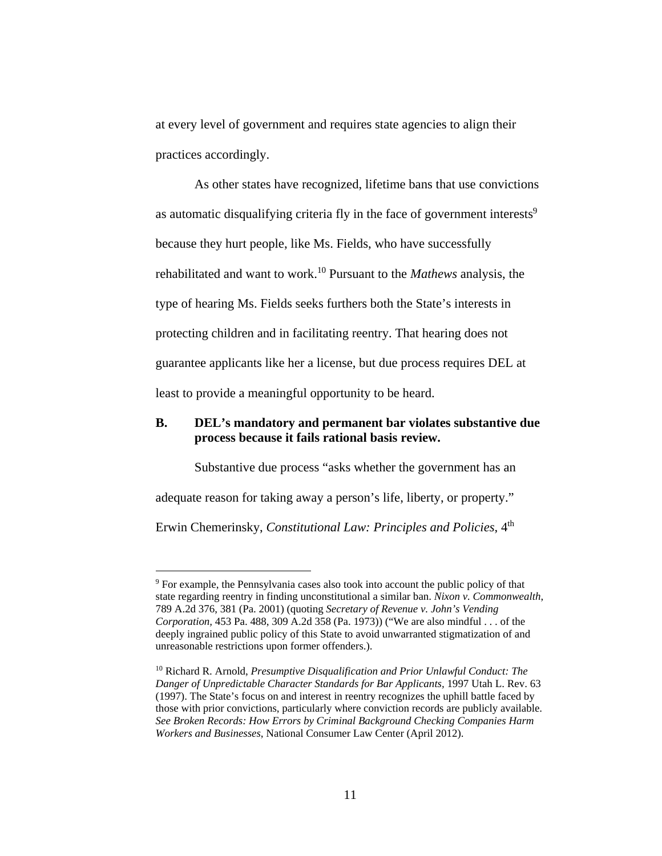at every level of government and requires state agencies to align their practices accordingly.

As other states have recognized, lifetime bans that use convictions as automatic disqualifying criteria fly in the face of government interests<sup>9</sup> because they hurt people, like Ms. Fields, who have successfully rehabilitated and want to work.10 Pursuant to the *Mathews* analysis, the type of hearing Ms. Fields seeks furthers both the State's interests in protecting children and in facilitating reentry. That hearing does not guarantee applicants like her a license, but due process requires DEL at least to provide a meaningful opportunity to be heard.

### **B. DEL's mandatory and permanent bar violates substantive due process because it fails rational basis review.**

Substantive due process "asks whether the government has an adequate reason for taking away a person's life, liberty, or property." Erwin Chemerinsky, *Constitutional Law: Principles and Policies*, 4<sup>th</sup>

<sup>&</sup>lt;sup>9</sup> For example, the Pennsylvania cases also took into account the public policy of that state regarding reentry in finding unconstitutional a similar ban. *Nixon v. Commonwealth*, 789 A.2d 376, 381 (Pa. 2001) (quoting *Secretary of Revenue v. John's Vending Corporation,* 453 Pa. 488, 309 A.2d 358 (Pa. 1973)) ("We are also mindful . . . of the deeply ingrained public policy of this State to avoid unwarranted stigmatization of and unreasonable restrictions upon former offenders.).

<sup>10</sup> Richard R. Arnold, *Presumptive Disqualification and Prior Unlawful Conduct: The Danger of Unpredictable Character Standards for Bar Applicants,* 1997 Utah L. Rev. 63 (1997). The State's focus on and interest in reentry recognizes the uphill battle faced by those with prior convictions, particularly where conviction records are publicly available. *See Broken Records: How Errors by Criminal Background Checking Companies Harm Workers and Businesses*, National Consumer Law Center (April 2012).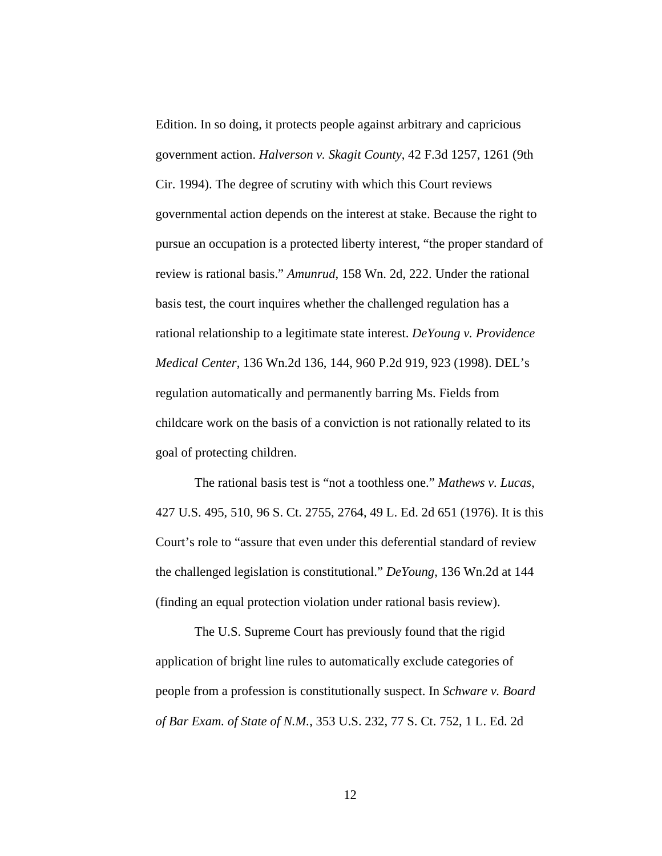Edition. In so doing, it protects people against arbitrary and capricious government action. *Halverson v. Skagit County*, 42 F.3d 1257, 1261 (9th Cir. 1994). The degree of scrutiny with which this Court reviews governmental action depends on the interest at stake. Because the right to pursue an occupation is a protected liberty interest, "the proper standard of review is rational basis." *Amunrud*, 158 Wn. 2d, 222. Under the rational basis test, the court inquires whether the challenged regulation has a rational relationship to a legitimate state interest. *DeYoung v. Providence Medical Center*, 136 Wn.2d 136, 144, 960 P.2d 919, 923 (1998). DEL's regulation automatically and permanently barring Ms. Fields from childcare work on the basis of a conviction is not rationally related to its goal of protecting children.

The rational basis test is "not a toothless one." *Mathews v. Lucas*, 427 U.S. 495, 510, 96 S. Ct. 2755, 2764, 49 L. Ed. 2d 651 (1976). It is this Court's role to "assure that even under this deferential standard of review the challenged legislation is constitutional." *DeYoung*, 136 Wn.2d at 144 (finding an equal protection violation under rational basis review).

The U.S. Supreme Court has previously found that the rigid application of bright line rules to automatically exclude categories of people from a profession is constitutionally suspect. In *Schware v. Board of Bar Exam. of State of N.M.*, 353 U.S. 232, 77 S. Ct. 752, 1 L. Ed. 2d

12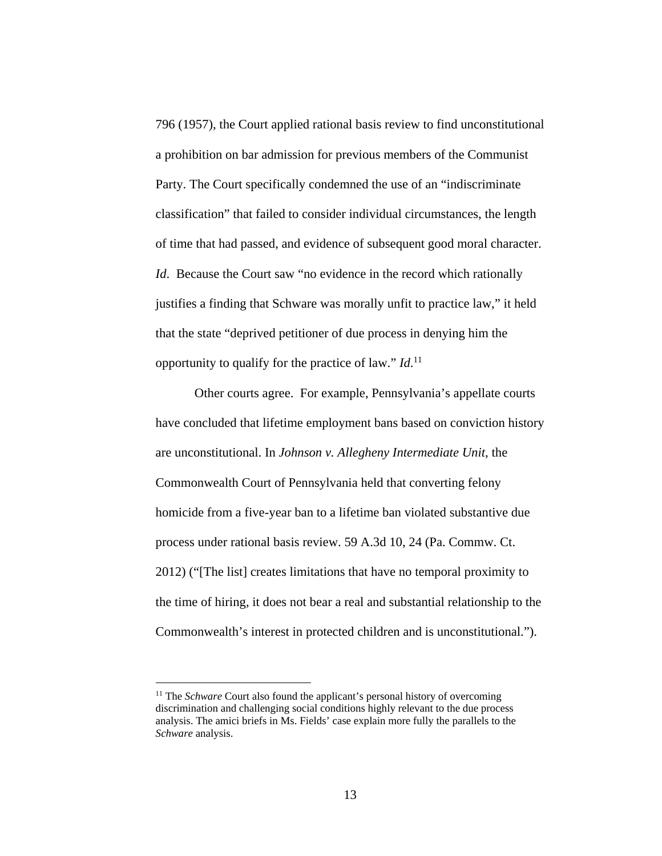796 (1957), the Court applied rational basis review to find unconstitutional a prohibition on bar admission for previous members of the Communist Party. The Court specifically condemned the use of an "indiscriminate classification" that failed to consider individual circumstances, the length of time that had passed, and evidence of subsequent good moral character. *Id.* Because the Court saw "no evidence in the record which rationally justifies a finding that Schware was morally unfit to practice law," it held that the state "deprived petitioner of due process in denying him the opportunity to qualify for the practice of law." *Id*. 11

Other courts agree. For example, Pennsylvania's appellate courts have concluded that lifetime employment bans based on conviction history are unconstitutional. In *Johnson v. Allegheny Intermediate Unit*, the Commonwealth Court of Pennsylvania held that converting felony homicide from a five-year ban to a lifetime ban violated substantive due process under rational basis review. 59 A.3d 10, 24 (Pa. Commw. Ct. 2012) ("[The list] creates limitations that have no temporal proximity to the time of hiring, it does not bear a real and substantial relationship to the Commonwealth's interest in protected children and is unconstitutional.").

<sup>&</sup>lt;sup>11</sup> The *Schware* Court also found the applicant's personal history of overcoming discrimination and challenging social conditions highly relevant to the due process analysis. The amici briefs in Ms. Fields' case explain more fully the parallels to the *Schware* analysis.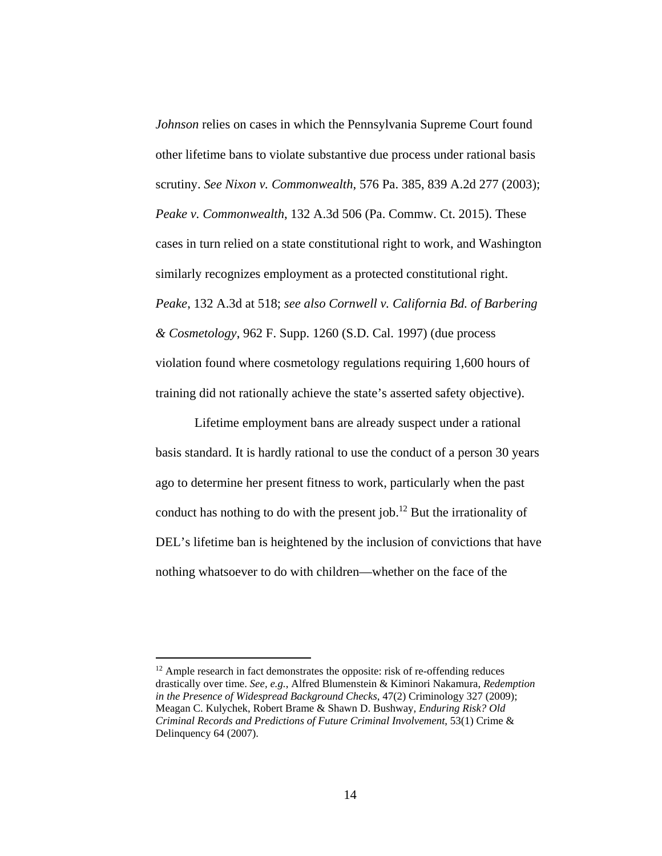*Johnson* relies on cases in which the Pennsylvania Supreme Court found other lifetime bans to violate substantive due process under rational basis scrutiny. *See Nixon v. Commonwealth*, 576 Pa. 385, 839 A.2d 277 (2003); *Peake v. Commonwealth*, 132 A.3d 506 (Pa. Commw. Ct. 2015). These cases in turn relied on a state constitutional right to work, and Washington similarly recognizes employment as a protected constitutional right. *Peake*, 132 A.3d at 518; *see also Cornwell v. California Bd. of Barbering & Cosmetology*, 962 F. Supp. 1260 (S.D. Cal. 1997) (due process violation found where cosmetology regulations requiring 1,600 hours of training did not rationally achieve the state's asserted safety objective).

Lifetime employment bans are already suspect under a rational basis standard. It is hardly rational to use the conduct of a person 30 years ago to determine her present fitness to work, particularly when the past conduct has nothing to do with the present job.<sup>12</sup> But the irrationality of DEL's lifetime ban is heightened by the inclusion of convictions that have nothing whatsoever to do with children—whether on the face of the

l

 $12$  Ample research in fact demonstrates the opposite: risk of re-offending reduces drastically over time. *See, e.g.*, Alfred Blumenstein & Kiminori Nakamura, *Redemption in the Presence of Widespread Background Checks*, 47(2) Criminology 327 (2009); Meagan C. Kulychek, Robert Brame & Shawn D. Bushway*, Enduring Risk? Old Criminal Records and Predictions of Future Criminal Involvement*, 53(1) Crime & Delinquency 64 (2007).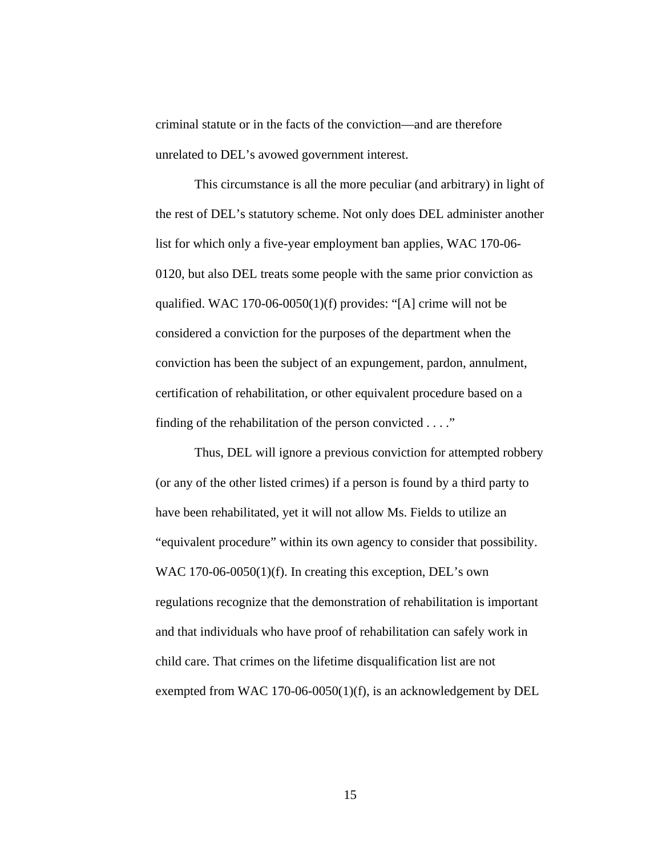criminal statute or in the facts of the conviction—and are therefore unrelated to DEL's avowed government interest.

This circumstance is all the more peculiar (and arbitrary) in light of the rest of DEL's statutory scheme. Not only does DEL administer another list for which only a five-year employment ban applies, WAC 170-06- 0120, but also DEL treats some people with the same prior conviction as qualified. WAC 170-06-0050(1)(f) provides: "[A] crime will not be considered a conviction for the purposes of the department when the conviction has been the subject of an expungement, pardon, annulment, certification of rehabilitation, or other equivalent procedure based on a finding of the rehabilitation of the person convicted . . . ."

Thus, DEL will ignore a previous conviction for attempted robbery (or any of the other listed crimes) if a person is found by a third party to have been rehabilitated, yet it will not allow Ms. Fields to utilize an "equivalent procedure" within its own agency to consider that possibility. WAC 170-06-0050(1)(f). In creating this exception, DEL's own regulations recognize that the demonstration of rehabilitation is important and that individuals who have proof of rehabilitation can safely work in child care. That crimes on the lifetime disqualification list are not exempted from WAC 170-06-0050(1)(f), is an acknowledgement by DEL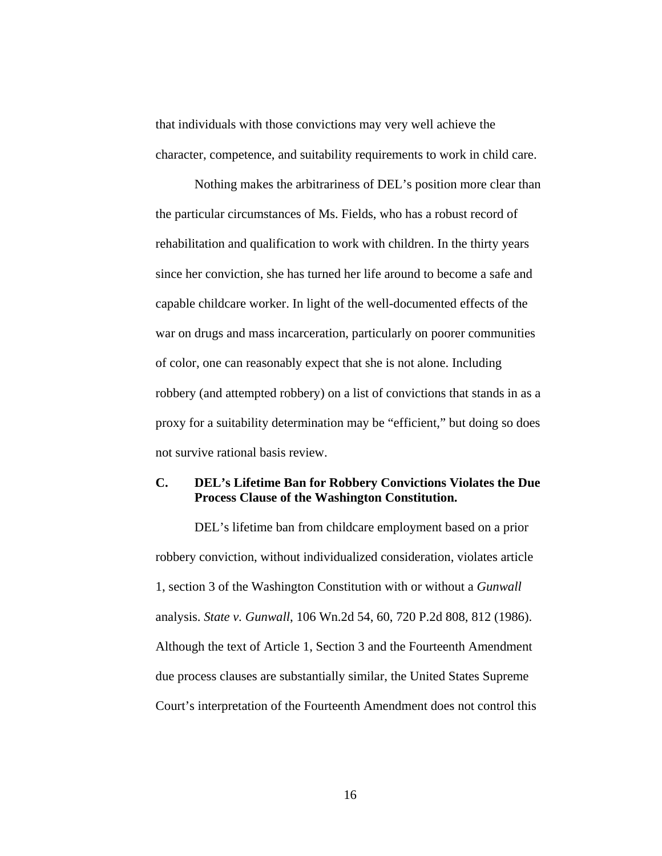that individuals with those convictions may very well achieve the character, competence, and suitability requirements to work in child care.

Nothing makes the arbitrariness of DEL's position more clear than the particular circumstances of Ms. Fields, who has a robust record of rehabilitation and qualification to work with children. In the thirty years since her conviction, she has turned her life around to become a safe and capable childcare worker. In light of the well-documented effects of the war on drugs and mass incarceration, particularly on poorer communities of color, one can reasonably expect that she is not alone. Including robbery (and attempted robbery) on a list of convictions that stands in as a proxy for a suitability determination may be "efficient," but doing so does not survive rational basis review.

### **C. DEL's Lifetime Ban for Robbery Convictions Violates the Due Process Clause of the Washington Constitution.**

DEL's lifetime ban from childcare employment based on a prior robbery conviction, without individualized consideration, violates article 1, section 3 of the Washington Constitution with or without a *Gunwall* analysis. *State v. Gunwall*, 106 Wn.2d 54, 60, 720 P.2d 808, 812 (1986). Although the text of Article 1, Section 3 and the Fourteenth Amendment due process clauses are substantially similar, the United States Supreme Court's interpretation of the Fourteenth Amendment does not control this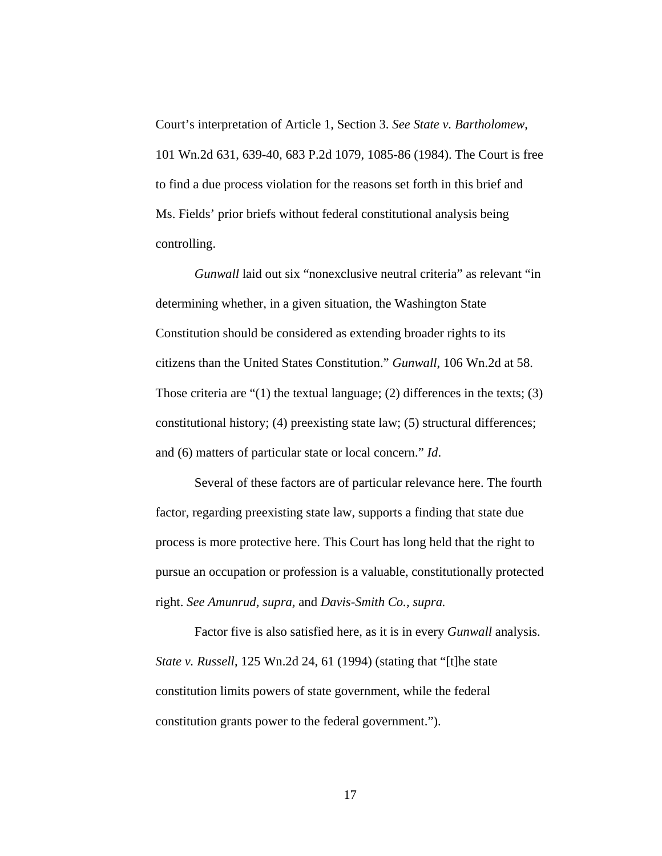Court's interpretation of Article 1, Section 3. *See State v. Bartholomew*, 101 Wn.2d 631, 639-40, 683 P.2d 1079, 1085-86 (1984). The Court is free to find a due process violation for the reasons set forth in this brief and Ms. Fields' prior briefs without federal constitutional analysis being controlling.

*Gunwall* laid out six "nonexclusive neutral criteria" as relevant "in determining whether, in a given situation, the Washington State Constitution should be considered as extending broader rights to its citizens than the United States Constitution." *Gunwall*, 106 Wn.2d at 58. Those criteria are "(1) the textual language; (2) differences in the texts; (3) constitutional history; (4) preexisting state law; (5) structural differences; and (6) matters of particular state or local concern." *Id*.

Several of these factors are of particular relevance here. The fourth factor, regarding preexisting state law, supports a finding that state due process is more protective here. This Court has long held that the right to pursue an occupation or profession is a valuable, constitutionally protected right. *See Amunrud, supra,* and *Davis-Smith Co., supra.* 

Factor five is also satisfied here, as it is in every *Gunwall* analysis. *State v. Russell*, 125 Wn.2d 24, 61 (1994) (stating that "[t]he state constitution limits powers of state government, while the federal constitution grants power to the federal government.").

17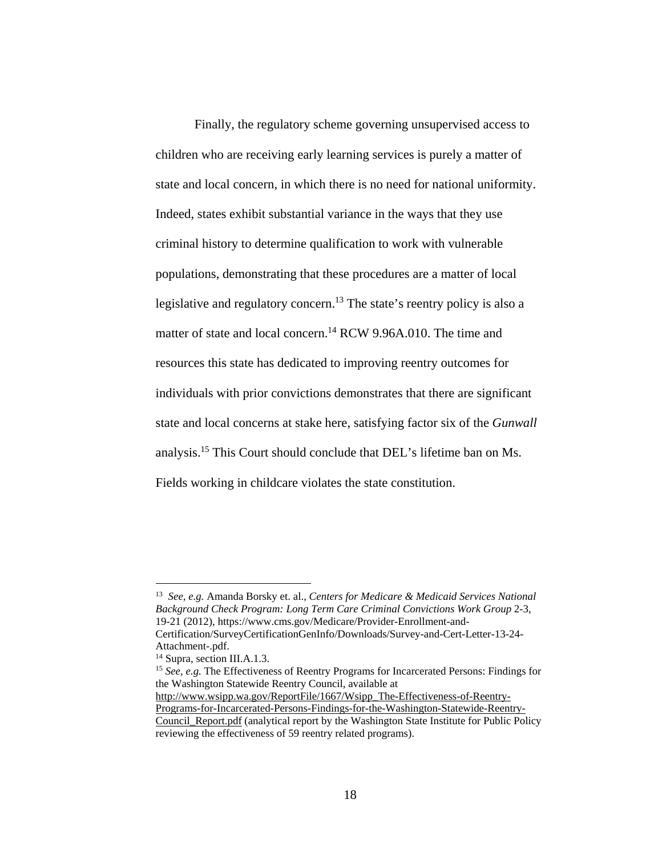Finally, the regulatory scheme governing unsupervised access to children who are receiving early learning services is purely a matter of state and local concern, in which there is no need for national uniformity. Indeed, states exhibit substantial variance in the ways that they use criminal history to determine qualification to work with vulnerable populations, demonstrating that these procedures are a matter of local legislative and regulatory concern.<sup>13</sup> The state's reentry policy is also a matter of state and local concern.<sup>14</sup> RCW 9.96A.010. The time and resources this state has dedicated to improving reentry outcomes for individuals with prior convictions demonstrates that there are significant state and local concerns at stake here, satisfying factor six of the *Gunwall* analysis.15 This Court should conclude that DEL's lifetime ban on Ms. Fields working in childcare violates the state constitution.

l

http://www.wsipp.wa.gov/ReportFile/1667/Wsipp\_The-Effectiveness-of-Reentry-Programs-for-Incarcerated-Persons-Findings-for-the-Washington-Statewide-Reentry-

<sup>13</sup> *See, e.g.* Amanda Borsky et. al., *Centers for Medicare & Medicaid Services National Background Check Program: Long Term Care Criminal Convictions Work Group* 2-3, 19-21 (2012), https://www.cms.gov/Medicare/Provider-Enrollment-and-Certification/SurveyCertificationGenInfo/Downloads/Survey-and-Cert-Letter-13-24-

Attachment-.pdf.

<sup>14</sup> Supra, section III.A.1.3.

<sup>15</sup> *See, e.g.* The Effectiveness of Reentry Programs for Incarcerated Persons: Findings for the Washington Statewide Reentry Council, available at

Council Report.pdf (analytical report by the Washington State Institute for Public Policy reviewing the effectiveness of 59 reentry related programs).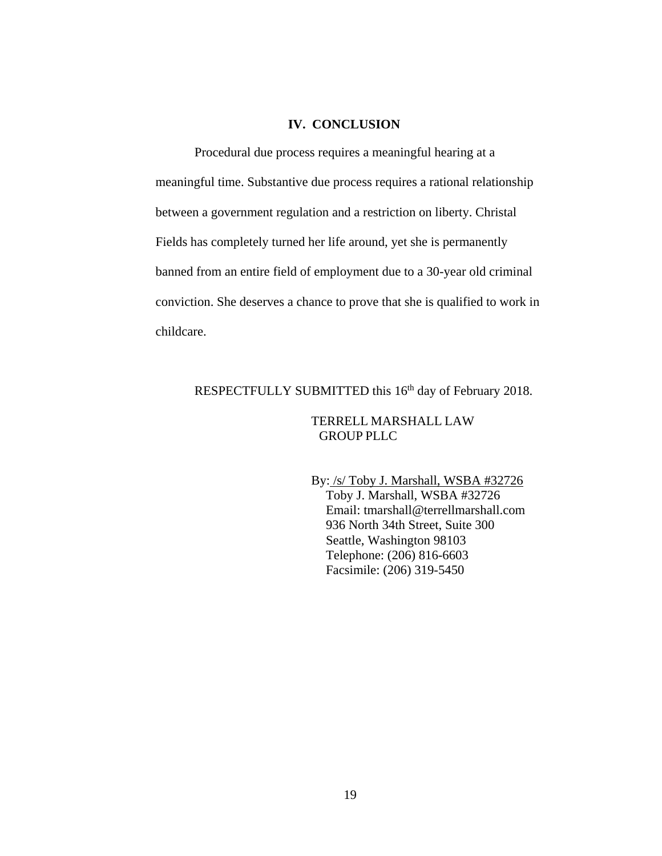### **IV. CONCLUSION**

Procedural due process requires a meaningful hearing at a meaningful time. Substantive due process requires a rational relationship between a government regulation and a restriction on liberty. Christal Fields has completely turned her life around, yet she is permanently banned from an entire field of employment due to a 30-year old criminal conviction. She deserves a chance to prove that she is qualified to work in childcare.

# RESPECTFULLY SUBMITTED this 16<sup>th</sup> day of February 2018.

### TERRELL MARSHALL LAW GROUP PLLC

By: /s/ Toby J. Marshall, WSBA #32726 Toby J. Marshall, WSBA #32726 Email: tmarshall@terrellmarshall.com 936 North 34th Street, Suite 300 Seattle, Washington 98103 Telephone: (206) 816-6603 Facsimile: (206) 319-5450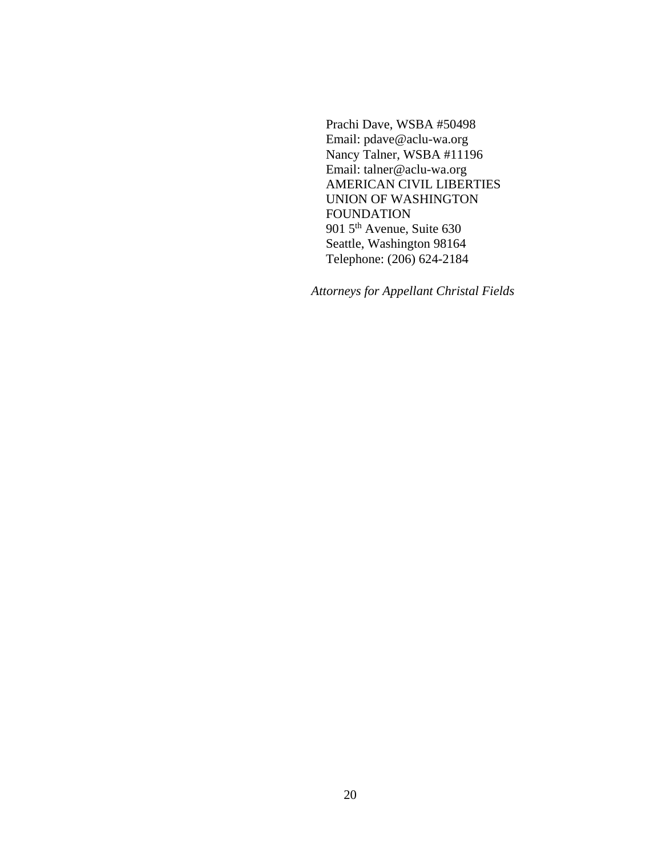Prachi Dave, WSBA #50498 Email: pdave@aclu-wa.org Nancy Talner, WSBA #11196 Email: talner@aclu-wa.org AMERICAN CIVIL LIBERTIES UNION OF WASHINGTON FOUNDATION 901 5<sup>th</sup> Avenue, Suite 630 Seattle, Washington 98164 Telephone: (206) 624-2184

*Attorneys for Appellant Christal Fields*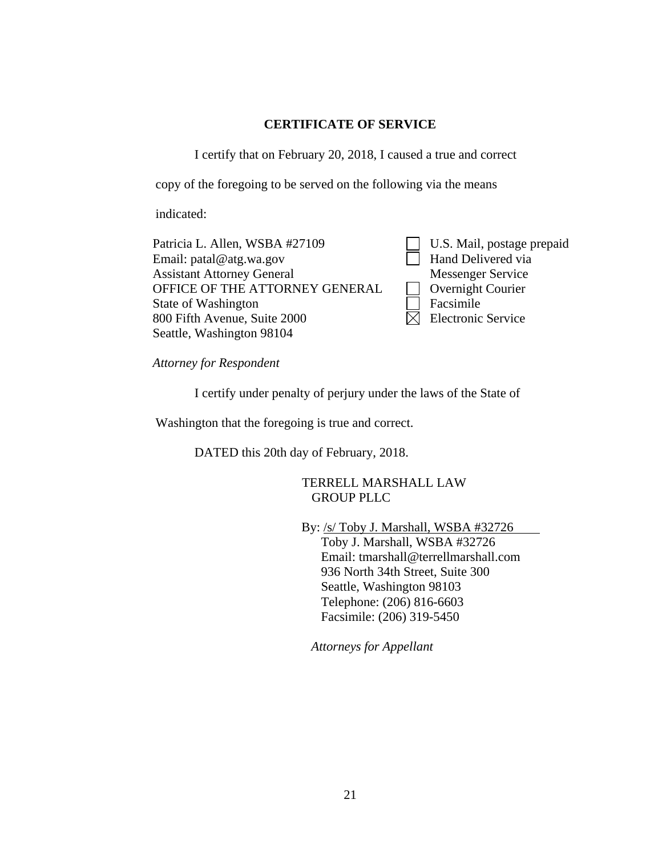### **CERTIFICATE OF SERVICE**

I certify that on February 20, 2018, I caused a true and correct

copy of the foregoing to be served on the following via the means

indicated:

Patricia L. Allen, WSBA #27109 Email: patal@atg.wa.gov Assistant Attorney General OFFICE OF THE ATTORNEY GENERAL State of Washington 800 Fifth Avenue, Suite 2000 Seattle, Washington 98104

U.S. Mail, postage prepaid **Hand Delivered via** Messenger Service **Overnight Courier** Facsimile  $\boxtimes$  Electronic Service

*Attorney for Respondent* 

I certify under penalty of perjury under the laws of the State of

Washington that the foregoing is true and correct.

DATED this 20th day of February, 2018.

TERRELL MARSHALL LAW GROUP PLLC

By: /s/ Toby J. Marshall, WSBA #32726

Toby J. Marshall, WSBA #32726 Email: tmarshall@terrellmarshall.com 936 North 34th Street, Suite 300 Seattle, Washington 98103 Telephone: (206) 816-6603 Facsimile: (206) 319-5450

*Attorneys for Appellant*